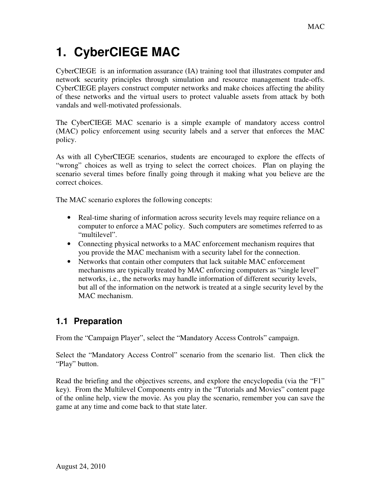# **1. CyberCIEGE MAC**

CyberCIEGE is an information assurance (IA) training tool that illustrates computer and network security principles through simulation and resource management trade-offs. CyberCIEGE players construct computer networks and make choices affecting the ability of these networks and the virtual users to protect valuable assets from attack by both vandals and well-motivated professionals.

The CyberCIEGE MAC scenario is a simple example of mandatory access control (MAC) policy enforcement using security labels and a server that enforces the MAC policy.

As with all CyberCIEGE scenarios, students are encouraged to explore the effects of "wrong" choices as well as trying to select the correct choices. Plan on playing the scenario several times before finally going through it making what you believe are the correct choices.

The MAC scenario explores the following concepts:

- Real-time sharing of information across security levels may require reliance on a computer to enforce a MAC policy. Such computers are sometimes referred to as "multilevel".
- Connecting physical networks to a MAC enforcement mechanism requires that you provide the MAC mechanism with a security label for the connection.
- Networks that contain other computers that lack suitable MAC enforcement mechanisms are typically treated by MAC enforcing computers as "single level" networks, i.e., the networks may handle information of different security levels, but all of the information on the network is treated at a single security level by the MAC mechanism.

## **1.1 Preparation**

From the "Campaign Player", select the "Mandatory Access Controls" campaign.

Select the "Mandatory Access Control" scenario from the scenario list. Then click the "Play" button.

Read the briefing and the objectives screens, and explore the encyclopedia (via the "F1" key). From the Multilevel Components entry in the "Tutorials and Movies" content page of the online help, view the movie. As you play the scenario, remember you can save the game at any time and come back to that state later.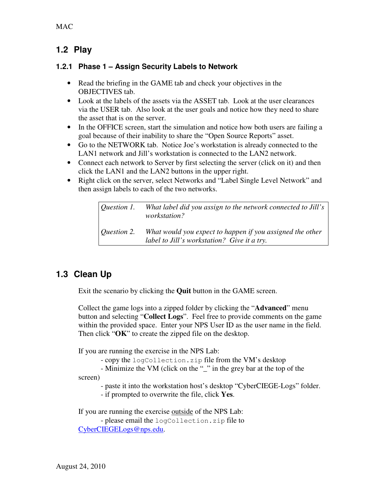### **1.2 Play**

#### **1.2.1 Phase 1 – Assign Security Labels to Network**

- Read the briefing in the GAME tab and check your objectives in the OBJECTIVES tab.
- Look at the labels of the assets via the ASSET tab. Look at the user clearances via the USER tab. Also look at the user goals and notice how they need to share the asset that is on the server.
- In the OFFICE screen, start the simulation and notice how both users are failing a goal because of their inability to share the "Open Source Reports" asset.
- Go to the NETWORK tab. Notice Joe's workstation is already connected to the LAN1 network and Jill's workstation is connected to the LAN2 network.
- Connect each network to Server by first selecting the server (click on it) and then click the LAN1 and the LAN2 buttons in the upper right.
- Right click on the server, select Networks and "Label Single Level Network" and then assign labels to each of the two networks.

*Question 1. What label did you assign to the network connected to Jill's workstation?* 

*Question 2. What would you expect to happen if you assigned the other label to Jill's workstation? Give it a try.* 

### **1.3 Clean Up**

Exit the scenario by clicking the **Quit** button in the GAME screen.

Collect the game logs into a zipped folder by clicking the "**Advanced**" menu button and selecting "**Collect Logs**". Feel free to provide comments on the game within the provided space. Enter your NPS User ID as the user name in the field. Then click "**OK**" to create the zipped file on the desktop.

If you are running the exercise in the NPS Lab:

- copy the logCollection.zip file from the VM's desktop

 - Minimize the VM (click on the "\_" in the grey bar at the top of the screen)

- paste it into the workstation host's desktop "CyberCIEGE-Logs" folder.

- if prompted to overwrite the file, click **Yes**.

If you are running the exercise outside of the NPS Lab: - please email the logCollection.zip file to CyberCIEGELogs@nps.edu.